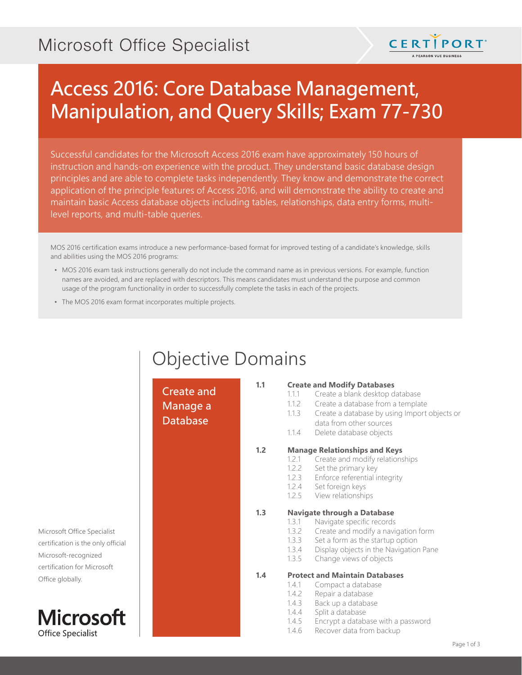## Microsoft Office Specialist



# Access 2016: Core Database Management, Manipulation, and Query Skills; Exam 77-730

Successful candidates for the Microsoft Access 2016 exam have approximately 150 hours of instruction and hands-on experience with the product. They understand basic database design principles and are able to complete tasks independently. They know and demonstrate the correct application of the principle features of Access 2016, and will demonstrate the ability to create and maintain basic Access database objects including tables, relationships, data entry forms, multilevel reports, and multi-table queries.

MOS 2016 certification exams introduce a new performance-based format for improved testing of a candidate's knowledge, skills and abilities using the MOS 2016 programs:

- MOS 2016 exam task instructions generally do not include the command name as in previous versions. For example, function names are avoided, and are replaced with descriptors. This means candidates must understand the purpose and common usage of the program functionality in order to successfully complete the tasks in each of the projects.
- The MOS 2016 exam format incorporates multiple projects.

## Objective Domains

Create and Manage a Database

#### **1.1 Create and Modify Databases**

- 1.1.1 Create a blank desktop database
- 1.1.2 Create a database from a template
- 1.1.3 Create a database by using Import objects or
- data from other sources
- 1.1.4 Delete database objects

#### **1.2 Manage Relationships and Keys**

- 1.2.1 Create and modify relationships
- 1.2.2 Set the primary key
- 1.2.3 Enforce referential integrity
- 1.2.4 Set foreign keys
- 1.2.5 View relationships

#### **1.3 Navigate through a Database**

- 1.3.1 Navigate specific records
- 1.3.2 Create and modify a navigation form
- 1.3.3 Set a form as the startup option
- 1.3.4 Display objects in the Navigation Pane
- 1.3.5 Change views of objects

#### **1.4 Protect and Maintain Databases**

- 1.4.1 Compact a database
- 1.4.2 Repair a database
- 1.4.3 Back up a database
- 1.4.4 Split a database
- 1.4.5 Encrypt a database with a password
- 1.4.6 Recover data from backup

Microsoft Office Specialist certification is the only official Microsoft-recognized certification for Microsoft Office globally.

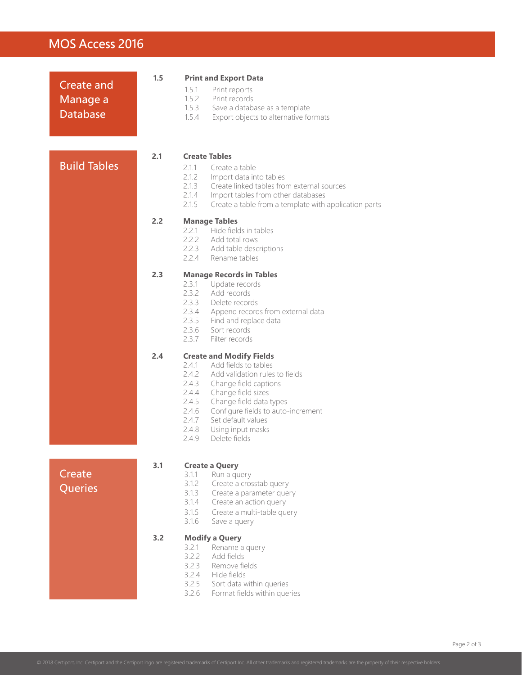### MOS Access 2016

| <b>Create and</b><br>Manage a<br><b>Database</b> | 1.5 | <b>Print and Export Data</b><br>1.5.1<br>Print reports<br>1.5.2<br>Print records<br>1.5.3<br>Save a database as a template<br>1.5.4<br>Export objects to alternative formats                                                                                                                                                                           |
|--------------------------------------------------|-----|--------------------------------------------------------------------------------------------------------------------------------------------------------------------------------------------------------------------------------------------------------------------------------------------------------------------------------------------------------|
| <b>Build Tables</b>                              | 2.1 | <b>Create Tables</b><br>2.1.1<br>Create a table<br>2.1.2<br>Import data into tables<br>2.1.3<br>Create linked tables from external sources<br>2.1.4<br>Import tables from other databases<br>2.1.5<br>Create a table from a template with application parts                                                                                            |
|                                                  | 2.2 | <b>Manage Tables</b><br>2.2.1<br>Hide fields in tables<br>2.2.2 Add total rows<br>2.2.3 Add table descriptions<br>2.2.4 Rename tables                                                                                                                                                                                                                  |
|                                                  | 2.3 | <b>Manage Records in Tables</b><br>2.3.1 Update records<br>2.3.2<br>Add records<br>2.3.3<br>Delete records<br>2.3.4<br>Append records from external data<br>2.3.5 Find and replace data<br>2.3.6<br>Sort records<br>2.3.7<br>Filter records                                                                                                            |
|                                                  | 2.4 | <b>Create and Modify Fields</b><br>Add fields to tables<br>2.4.1<br>2.4.2<br>Add validation rules to fields<br>2.4.3<br>Change field captions<br>2.4.4<br>Change field sizes<br>2.4.5<br>Change field data types<br>2.4.6<br>Configure fields to auto-increment<br>2.4.7<br>Set default values<br>2.4.8<br>Using input masks<br>2.4.9<br>Delete fields |
| Create<br>Queries                                | 3.1 | <b>Create a Query</b><br>3.1.1<br>Run a query<br>3.1.2<br>Create a crosstab query<br>3.1.3<br>Create a parameter query<br>3.1.4<br>Create an action query<br>3.1.5<br>Create a multi-table query<br>3.1.6<br>Save a query                                                                                                                              |
|                                                  | 3.2 | <b>Modify a Query</b><br>3.2.1<br>Rename a query<br>3.2.2<br>Add fields<br>3.2.3<br>Remove fields<br>3.2.4<br>Hide fields<br>3.2.5<br>Sort data within queries<br>3.2.6<br>Format fields within queries                                                                                                                                                |